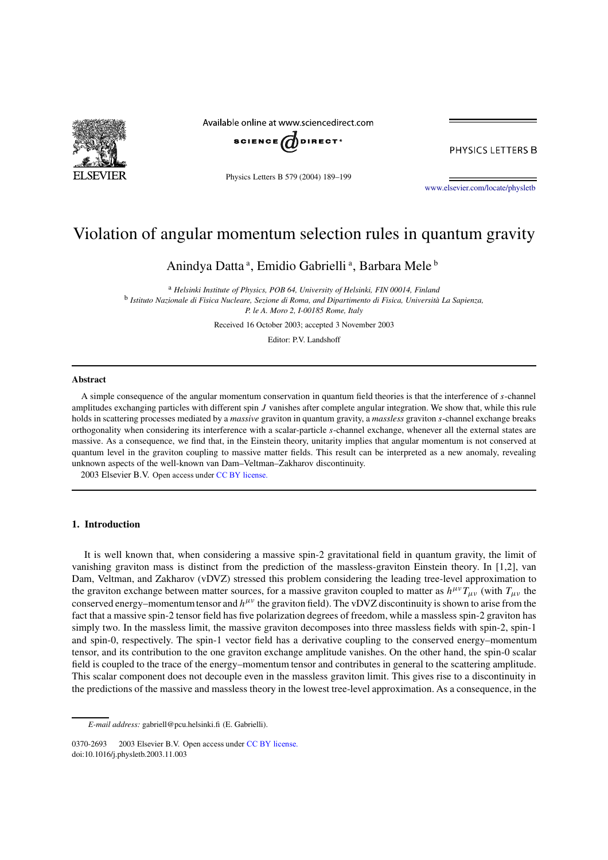

Available online at www.sciencedirect.com



Physics Letters B 579 (2004) 189–199

PHYSICS LETTERS B

www.elsevier.com/locate/physletb

# Violation of angular momentum selection rules in quantum gravity

Anindya Datta<sup>a</sup>, Emidio Gabrielli<sup>a</sup>, Barbara Mele<sup>b</sup>

<sup>a</sup> *Helsinki Institute of Physics, POB 64, University of Helsinki, FIN 00014, Finland* b *Istituto Nazionale di Fisica Nucleare, Sezione di Roma, and Dipartimento di Fisica, Università La Sapienza, P. le A. Moro 2, I-00185 Rome, Italy*

Received 16 October 2003; accepted 3 November 2003

Editor: P.V. Landshoff

#### **Abstract**

A simple consequence of the angular momentum conservation in quantum field theories is that the interference of s-channel amplitudes exchanging particles with different spin J vanishes after complete angular integration. We show that, while this rule holds in scattering processes mediated by a *massive* graviton in quantum gravity, a *massless* graviton s-channel exchange breaks orthogonality when considering its interference with a scalar-particle s-channel exchange, whenever all the external states are massive. As a consequence, we find that, in the Einstein theory, unitarity implies that angular momentum is not conserved at quantum level in the graviton coupling to massive matter fields. This result can be interpreted as a new anomaly, revealing unknown aspects of the well-known van Dam–Veltman–Zakharov discontinuity.

 $© 2003 Elsevier B.V. Open access under CC BY license.$ 

# **1. Introduction**

It is well known that, when considering a massive spin-2 gravitational field in quantum gravity, the limit of vanishing graviton mass is distinct from the prediction of the massless-graviton Einstein theory. In [1,2], van Dam, Veltman, and Zakharov (vDVZ) stressed this problem considering the leading tree-level approximation to the graviton exchange between matter sources, for a massive graviton coupled to matter as  $h^{\mu\nu}T_{\mu\nu}$  (with  $T_{\mu\nu}$  the conserved energy–momentum tensor and  $h^{\mu\nu}$  the graviton field). The vDVZ discontinuity is shown to arise from the fact that a massive spin-2 tensor field has five polarization degrees of freedom, while a massless spin-2 graviton has simply two. In the massless limit, the massive graviton decomposes into three massless fields with spin-2, spin-1 and spin-0, respectively. The spin-1 vector field has a derivative coupling to the conserved energy–momentum tensor, and its contribution to the one graviton exchange amplitude vanishes. On the other hand, the spin-0 scalar field is coupled to the trace of the energy–momentum tensor and contributes in general to the scattering amplitude. This scalar component does not decouple even in the massless graviton limit. This gives rise to a discontinuity in the predictions of the massive and massless theory in the lowest tree-level approximation. As a consequence, in the

*E-mail address:* gabriell@pcu.helsinki.fi (E. Gabrielli).

<sup>0370-2693 © 2003</sup> Elsevier B.V. Open access under CC BY license. doi:10.1016/j.physletb.2003.11.003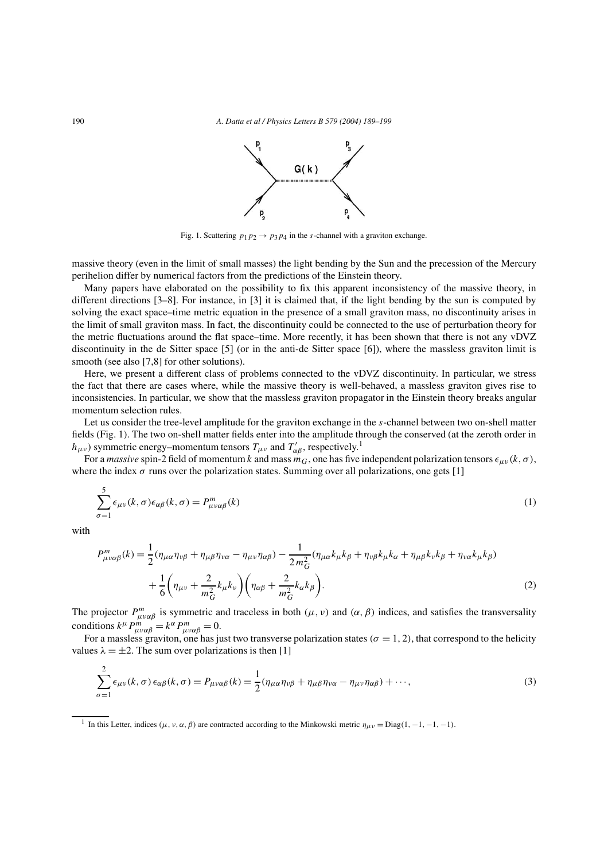

Fig. 1. Scattering  $p_1p_2 \rightarrow p_3p_4$  in the s-channel with a graviton exchange.

massive theory (even in the limit of small masses) the light bending by the Sun and the precession of the Mercury perihelion differ by numerical factors from the predictions of the Einstein theory.

Many papers have elaborated on the possibility to fix this apparent inconsistency of the massive theory, in different directions [3–8]. For instance, in [3] it is claimed that, if the light bending by the sun is computed by solving the exact space–time metric equation in the presence of a small graviton mass, no discontinuity arises in the limit of small graviton mass. In fact, the discontinuity could be connected to the use of perturbation theory for the metric fluctuations around the flat space–time. More recently, it has been shown that there is not any vDVZ discontinuity in the de Sitter space [5] (or in the anti-de Sitter space [6]), where the massless graviton limit is smooth (see also [7,8] for other solutions).

Here, we present a different class of problems connected to the vDVZ discontinuity. In particular, we stress the fact that there are cases where, while the massive theory is well-behaved, a massless graviton gives rise to inconsistencies. In particular, we show that the massless graviton propagator in the Einstein theory breaks angular momentum selection rules.

Let us consider the tree-level amplitude for the graviton exchange in the s-channel between two on-shell matter fields (Fig. 1). The two on-shell matter fields enter into the amplitude through the conserved (at the zeroth order in  $h_{\mu\nu}$ ) symmetric energy–momentum tensors  $T_{\mu\nu}$  and  $T'_{\alpha\beta}$ , respectively.<sup>1</sup>

For a *massive* spin-2 field of momentum k and mass  $m<sub>G</sub>$ , one has five independent polarization tensors  $\epsilon_{\mu\nu}(k,\sigma)$ , where the index  $\sigma$  runs over the polarization states. Summing over all polarizations, one gets [1]

$$
\sum_{\sigma=1}^{5} \epsilon_{\mu\nu}(k,\sigma) \epsilon_{\alpha\beta}(k,\sigma) = P_{\mu\nu\alpha\beta}^{m}(k)
$$
\n(1)

with

$$
P_{\mu\nu\alpha\beta}^{m}(k) = \frac{1}{2}(\eta_{\mu\alpha}\eta_{\nu\beta} + \eta_{\mu\beta}\eta_{\nu\alpha} - \eta_{\mu\nu}\eta_{\alpha\beta}) - \frac{1}{2m_{G}^{2}}(\eta_{\mu\alpha}k_{\mu}k_{\beta} + \eta_{\nu\beta}k_{\mu}k_{\alpha} + \eta_{\mu\beta}k_{\nu}k_{\beta} + \eta_{\nu\alpha}k_{\mu}k_{\beta})
$$

$$
+ \frac{1}{6}\left(\eta_{\mu\nu} + \frac{2}{m_{G}^{2}}k_{\mu}k_{\nu}\right)\left(\eta_{\alpha\beta} + \frac{2}{m_{G}^{2}}k_{\alpha}k_{\beta}\right). \tag{2}
$$

The projector  $P_{\mu\nu\alpha\beta}^{m}$  is symmetric and traceless in both  $(\mu, \nu)$  and  $(\alpha, \beta)$  indices, and satisfies the transversality conditions  $k^{\mu} P_{\mu\nu\alpha\beta}^{m} = k^{\alpha} P_{\mu\nu\alpha\beta}^{m} = 0.$ 

For a massless graviton, one has just two transverse polarization states ( $\sigma = 1, 2$ ), that correspond to the helicity values  $\lambda = \pm 2$ . The sum over polarizations is then [1]

$$
\sum_{\sigma=1}^{2} \epsilon_{\mu\nu}(k,\sigma) \epsilon_{\alpha\beta}(k,\sigma) = P_{\mu\nu\alpha\beta}(k) = \frac{1}{2} (\eta_{\mu\alpha}\eta_{\nu\beta} + \eta_{\mu\beta}\eta_{\nu\alpha} - \eta_{\mu\nu}\eta_{\alpha\beta}) + \cdots,
$$
\n(3)

<sup>1</sup> In this Letter, indices ( $\mu$ ,  $\nu$ ,  $\alpha$ ,  $\beta$ ) are contracted according to the Minkowski metric  $\eta_{\mu\nu} = \text{Diag}(1, -1, -1, -1)$ .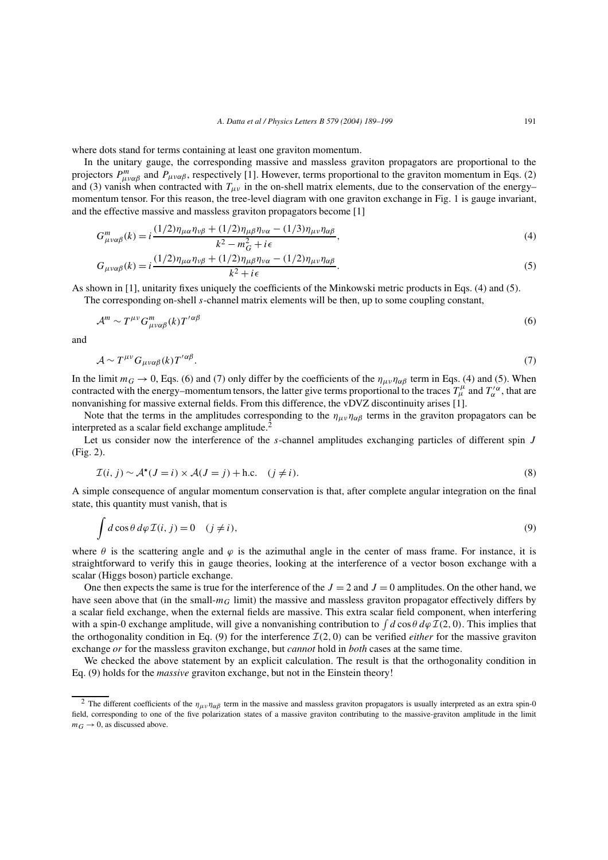where dots stand for terms containing at least one graviton momentum.

In the unitary gauge, the corresponding massive and massless graviton propagators are proportional to the projectors  $P_{\mu\nu\alpha\beta}^m$  and  $P_{\mu\nu\alpha\beta}$ , respectively [1]. However, terms proportional to the graviton momentum in Eqs. (2) and (3) vanish when contracted with  $T_{\mu\nu}$  in the on-shell matrix elements, due to the conservation of the energy– momentum tensor. For this reason, the tree-level diagram with one graviton exchange in Fig. 1 is gauge invariant, and the effective massive and massless graviton propagators become [1]

$$
G_{\mu\nu\alpha\beta}^{m}(k) = i \frac{(1/2)\eta_{\mu\alpha}\eta_{\nu\beta} + (1/2)\eta_{\mu\beta}\eta_{\nu\alpha} - (1/3)\eta_{\mu\nu}\eta_{\alpha\beta}}{k^2 - m_G^2 + i\epsilon},
$$
\n
$$
(4)
$$

$$
G_{\mu\nu\alpha\beta}(k) = i \frac{(1/2)\eta_{\mu\alpha}\eta_{\nu\beta} + (1/2)\eta_{\mu\beta}\eta_{\nu\alpha} - (1/2)\eta_{\mu\nu}\eta_{\alpha\beta}}{k^2 + i\epsilon}.
$$
\n
$$
(5)
$$

As shown in [1], unitarity fixes uniquely the coefficients of the Minkowski metric products in Eqs. (4) and (5).

The corresponding on-shell s-channel matrix elements will be then, up to some coupling constant,

$$
\mathcal{A}^m \sim T^{\mu\nu} G^m_{\mu\nu\alpha\beta}(k) T^{\prime\alpha\beta} \tag{6}
$$

and

$$
\mathcal{A} \sim T^{\mu\nu} G_{\mu\nu\alpha\beta}(k) T^{\prime\alpha\beta}.
$$
 (7)

In the limit  $m_G \to 0$ , Eqs. (6) and (7) only differ by the coefficients of the  $\eta_{\mu\nu}\eta_{\alpha\beta}$  term in Eqs. (4) and (5). When contracted with the energy–momentum tensors, the latter give terms proportional to the traces  $T^{\mu}_{\mu}$  and  $T^{\prime\alpha}_{\alpha}$ , that are nonvanishing for massive external fields. From this difference, the vDVZ discontinuity arises [1].

Note that the terms in the amplitudes corresponding to the  $\eta_{\mu\nu}\eta_{\alpha\beta}$  terms in the graviton propagators can be interpreted as a scalar field exchange amplitude. $2$ 

Let us consider now the interference of the s-channel amplitudes exchanging particles of different spin J (Fig. 2).

$$
\mathcal{I}(i, j) \sim \mathcal{A}^{\star}(J = i) \times \mathcal{A}(J = j) + \text{h.c.} \quad (j \neq i).
$$
\n<sup>(8)</sup>

A simple consequence of angular momentum conservation is that, after complete angular integration on the final state, this quantity must vanish, that is

$$
\int d\cos\theta \, d\varphi \, \mathcal{I}(i,j) = 0 \quad (j \neq i), \tag{9}
$$

where  $\theta$  is the scattering angle and  $\varphi$  is the azimuthal angle in the center of mass frame. For instance, it is straightforward to verify this in gauge theories, looking at the interference of a vector boson exchange with a scalar (Higgs boson) particle exchange.

One then expects the same is true for the interference of the  $J = 2$  and  $J = 0$  amplitudes. On the other hand, we have seen above that (in the small- $m<sub>G</sub>$  limit) the massive and massless graviton propagator effectively differs by a scalar field exchange, when the external fields are massive. This extra scalar field component, when interfering with a spin-0 exchange amplitude, will give a nonvanishing contribution to  $\int d\cos\theta \, d\varphi \, \mathcal{I}(2,0)$ . This implies that the orthogonality condition in Eq. (9) for the interference  $\mathcal{I}(2, 0)$  can be verified *either* for the massive graviton exchange *or* for the massless graviton exchange, but *cannot* hold in *both* cases at the same time.

We checked the above statement by an explicit calculation. The result is that the orthogonality condition in Eq. (9) holds for the *massive* graviton exchange, but not in the Einstein theory!

<sup>&</sup>lt;sup>2</sup> The different coefficients of the  $\eta_{\mu\nu}\eta_{\alpha\beta}$  term in the massive and massless graviton propagators is usually interpreted as an extra spin-0 field, corresponding to one of the five polarization states of a massive graviton contributing to the massive-graviton amplitude in the limit  $m_G \rightarrow 0$ , as discussed above.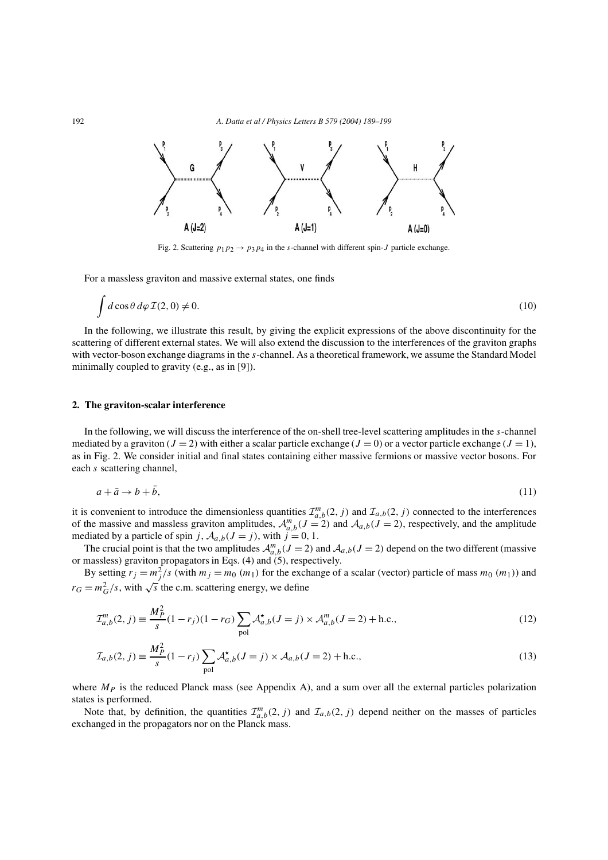

Fig. 2. Scattering  $p_1p_2 \rightarrow p_3p_4$  in the s-channel with different spin-J particle exchange.

For a massless graviton and massive external states, one finds

$$
\int d\cos\theta \, d\varphi \, \mathcal{I}(2,0) \neq 0. \tag{10}
$$

In the following, we illustrate this result, by giving the explicit expressions of the above discontinuity for the scattering of different external states. We will also extend the discussion to the interferences of the graviton graphs with vector-boson exchange diagrams in the s-channel. As a theoretical framework, we assume the Standard Model minimally coupled to gravity (e.g., as in [9]).

# **2. The graviton-scalar interference**

In the following, we will discuss the interference of the on-shell tree-level scattering amplitudes in the s-channel mediated by a graviton ( $J = 2$ ) with either a scalar particle exchange ( $J = 0$ ) or a vector particle exchange ( $J = 1$ ), as in Fig. 2. We consider initial and final states containing either massive fermions or massive vector bosons. For each s scattering channel,

$$
a + \bar{a} \to b + \bar{b},\tag{11}
$$

it is convenient to introduce the dimensionless quantities  $\mathcal{I}_{a,b}^m(2,j)$  and  $\mathcal{I}_{a,b}(2,j)$  connected to the interferences of the massive and massless graviton amplitudes,  $\mathcal{A}_{a,b}^m(J=2)$  and  $\mathcal{A}_{a,b}(J=2)$ , respectively, and the amplitude mediated by a particle of spin j,  $A_{a,b}(J = j)$ , with  $j = 0, 1$ .

The crucial point is that the two amplitudes  $\mathcal{A}_{a,b}^m(J=2)$  and  $\mathcal{A}_{a,b}(J=2)$  depend on the two different (massive or massless) graviton propagators in Eqs. (4) and (5), respectively.

By setting  $r_j = m_j^2/s$  (with  $m_j = m_0 (m_1)$  for the exchange of a scalar (vector) particle of mass  $m_0 (m_1)$ ) and  $r_G = m_G^2/s$ , with  $\sqrt{s}$  the c.m. scattering energy, we define

$$
\mathcal{I}_{a,b}^{m}(2,j) \equiv \frac{M_P^2}{s} (1 - r_j)(1 - r_G) \sum_{\text{pol}} \mathcal{A}_{a,b}^{\star}(J = j) \times \mathcal{A}_{a,b}^{m}(J = 2) + \text{h.c.},\tag{12}
$$

$$
\mathcal{I}_{a,b}(2,j) \equiv \frac{M_P^2}{s} (1 - r_j) \sum_{\text{pol}} \mathcal{A}_{a,b}^{\star}(J = j) \times \mathcal{A}_{a,b}(J = 2) + \text{h.c.},\tag{13}
$$

where  $M_P$  is the reduced Planck mass (see Appendix A), and a sum over all the external particles polarization states is performed.

Note that, by definition, the quantities  $\mathcal{I}_{a,b}^m(2, j)$  and  $\mathcal{I}_{a,b}(2, j)$  depend neither on the masses of particles exchanged in the propagators nor on the Planck mass.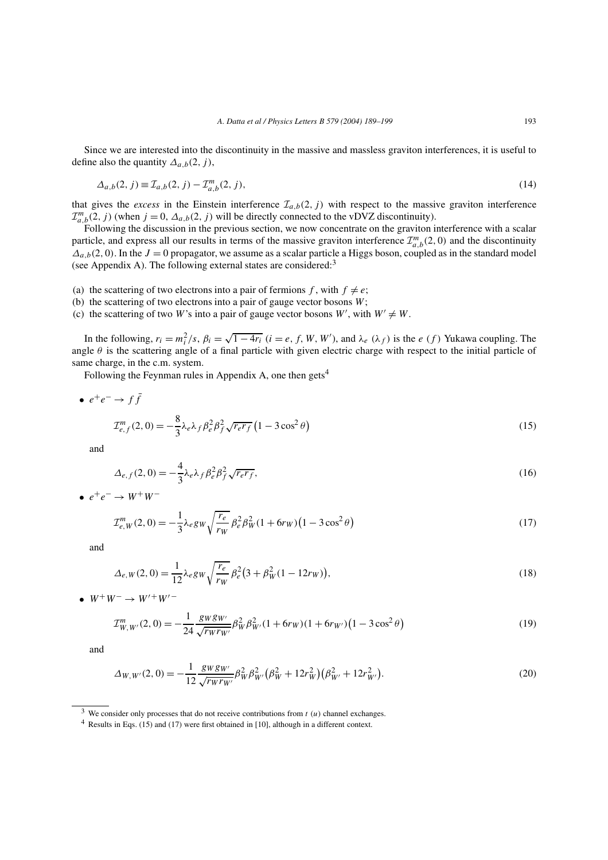Since we are interested into the discontinuity in the massive and massless graviton interferences, it is useful to define also the quantity  $\Delta_{a,b}(2,j)$ ,

$$
\Delta_{a,b}(2,j) \equiv \mathcal{I}_{a,b}(2,j) - \mathcal{I}_{a,b}^{m}(2,j),\tag{14}
$$

that gives the *excess* in the Einstein interference  $\mathcal{I}_{a,b}(2, j)$  with respect to the massive graviton interference  $\mathcal{I}_{a,b}^{m}(2, j)$  (when  $j = 0, \Delta_{a,b}(2, j)$  will be directly connected to the vDVZ discontinuity).

Following the discussion in the previous section, we now concentrate on the graviton interference with a scalar particle, and express all our results in terms of the massive graviton interference  $\mathcal{I}_{a,b}^m(2,0)$  and the discontinuity  $\Delta_{a,b}(2,0)$ . In the  $J=0$  propagator, we assume as a scalar particle a Higgs boson, coupled as in the standard model (see Appendix A). The following external states are considered:<sup>3</sup>

- (a) the scattering of two electrons into a pair of fermions f, with  $f \neq e$ ;
- (b) the scattering of two electrons into a pair of gauge vector bosons  $W$ ;
- (c) the scattering of two W's into a pair of gauge vector bosons  $W'$ , with  $W' \neq W$ .

In the following,  $r_i = m_i^2/s$ ,  $\beta_i = \sqrt{1-4r_i}$   $(i = e, f, W, W')$ , and  $\lambda_e(\lambda_f)$  is the  $e(f)$  Yukawa coupling. The angle  $\theta$  is the scattering angle of a final particle with given electric charge with respect to the initial particle of same charge, in the c.m. system.

Following the Feynman rules in Appendix A, one then gets<sup>4</sup>

• 
$$
e^+e^- \to f\bar{f}
$$
  
\n
$$
\mathcal{I}_{e,f}^m(2,0) = -\frac{8}{3}\lambda_e\lambda_f\beta_e^2\beta_f^2\sqrt{r_e r_f} \left(1 - 3\cos^2\theta\right)
$$
\n(15)

and

$$
\Delta_{e,f}(2,0) = -\frac{4}{3}\lambda_e \lambda_f \beta_e^2 \beta_f^2 \sqrt{r_e r_f},\tag{16}
$$

 $e^+e^- \rightarrow W^+W^-$ 

$$
\mathcal{I}_{e,W}^{m}(2,0) = -\frac{1}{3}\lambda_e g_W \sqrt{\frac{r_e}{r_W}} \beta_e^2 \beta_W^2 (1 + 6r_W)(1 - 3\cos^2\theta)
$$
\n(17)

and

$$
\Delta_{e,W}(2,0) = \frac{1}{12} \lambda_e g_W \sqrt{\frac{r_e}{r_W}} \beta_e^2 (3 + \beta_W^2 (1 - 12r_W)),\tag{18}
$$

•  $W^+W^- \to W'^+W'^-$ 

$$
\mathcal{I}_{W,W'}^m(2,0) = -\frac{1}{24} \frac{\mathcal{S}W\mathcal{S}W'}{\sqrt{r_W r_{W'}}} \beta_W^2 \beta_{W'}^2 (1 + 6r_W)(1 + 6r_{W'}) \left(1 - 3\cos^2\theta\right)
$$
(19)

and

$$
\Delta_{W,W'}(2,0) = -\frac{1}{12} \frac{\mathcal{S}W\mathcal{S}W'}{\sqrt{r_W r_{W'}}} \beta_W^2 \beta_{W'}^2 \left(\beta_W^2 + 12r_W^2\right) \left(\beta_{W'}^2 + 12r_{W'}^2\right). \tag{20}
$$

<sup>&</sup>lt;sup>3</sup> We consider only processes that do not receive contributions from  $t(u)$  channel exchanges.

<sup>4</sup> Results in Eqs. (15) and (17) were first obtained in [10], although in a different context.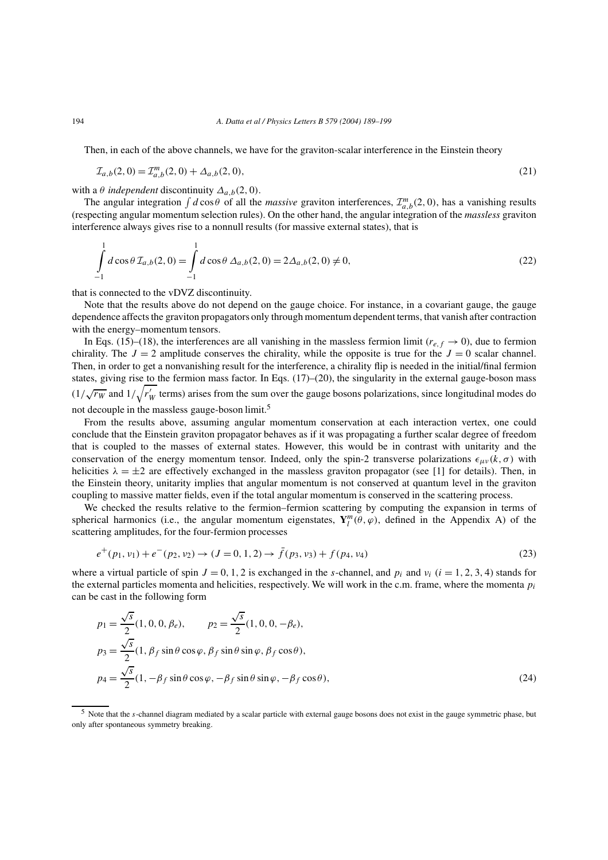Then, in each of the above channels, we have for the graviton-scalar interference in the Einstein theory

$$
\mathcal{I}_{a,b}(2,0) = \mathcal{I}_{a,b}^{m}(2,0) + \Delta_{a,b}(2,0),\tag{21}
$$

with a  $\theta$  *independent* discontinuity  $\Delta_{a,b}(2,0)$ .

The angular integration  $\int d\cos\theta$  of all the *massive* graviton interferences,  $\mathcal{I}_{a,b}^m(2,0)$ , has a vanishing results (respecting angular momentum selection rules). On the other hand, the angular integration of the *massless* graviton interference always gives rise to a nonnull results (for massive external states), that is

$$
\int_{-1}^{1} d\cos\theta \,\mathcal{I}_{a,b}(2,0) = \int_{-1}^{1} d\cos\theta \,\Delta_{a,b}(2,0) = 2\Delta_{a,b}(2,0) \neq 0,\tag{22}
$$

that is connected to the vDVZ discontinuity.

Note that the results above do not depend on the gauge choice. For instance, in a covariant gauge, the gauge dependence affects the graviton propagators only through momentum dependent terms, that vanish after contraction with the energy–momentum tensors.

In Eqs. (15)–(18), the interferences are all vanishing in the massless fermion limit ( $r_{e,f} \to 0$ ), due to fermion chirality. The  $J = 2$  amplitude conserves the chirality, while the opposite is true for the  $J = 0$  scalar channel. Then, in order to get a nonvanishing result for the interference, a chirality flip is needed in the initial/final fermion states, giving rise to the fermion mass factor. In Eqs. (17)–(20), the singularity in the external gauge-boson mass  $(1/\sqrt{r_W}$  and  $1/\sqrt{r_W'}$  terms) arises from the sum over the gauge bosons polarizations, since longitudinal modes do not decouple in the massless gauge-boson limit.<sup>5</sup>

From the results above, assuming angular momentum conservation at each interaction vertex, one could conclude that the Einstein graviton propagator behaves as if it was propagating a further scalar degree of freedom that is coupled to the masses of external states. However, this would be in contrast with unitarity and the conservation of the energy momentum tensor. Indeed, only the spin-2 transverse polarizations  $\epsilon_{\mu\nu}(k,\sigma)$  with helicities  $\lambda = \pm 2$  are effectively exchanged in the massless graviton propagator (see [1] for details). Then, in the Einstein theory, unitarity implies that angular momentum is not conserved at quantum level in the graviton coupling to massive matter fields, even if the total angular momentum is conserved in the scattering process.

We checked the results relative to the fermion–fermion scattering by computing the expansion in terms of spherical harmonics (i.e., the angular momentum eigenstates,  $Y_l^m(\theta, \varphi)$ , defined in the Appendix A) of the scattering amplitudes, for the four-fermion processes

$$
e^+(p_1, v_1) + e^-(p_2, v_2) \to (J = 0, 1, 2) \to f(p_3, v_3) + f(p_4, v_4)
$$
\n(23)

where a virtual particle of spin  $J = 0, 1, 2$  is exchanged in the s-channel, and  $p_i$  and  $v_i$  ( $i = 1, 2, 3, 4$ ) stands for the external particles momenta and helicities, respectively. We will work in the c.m. frame, where the momenta  $p_i$ can be cast in the following form

$$
p_1 = \frac{\sqrt{s}}{2} (1, 0, 0, \beta_e), \qquad p_2 = \frac{\sqrt{s}}{2} (1, 0, 0, -\beta_e),
$$
  
\n
$$
p_3 = \frac{\sqrt{s}}{2} (1, \beta_f \sin \theta \cos \varphi, \beta_f \sin \theta \sin \varphi, \beta_f \cos \theta),
$$
  
\n
$$
p_4 = \frac{\sqrt{s}}{2} (1, -\beta_f \sin \theta \cos \varphi, -\beta_f \sin \theta \sin \varphi, -\beta_f \cos \theta),
$$
\n(24)

<sup>&</sup>lt;sup>5</sup> Note that the *s*-channel diagram mediated by a scalar particle with external gauge bosons does not exist in the gauge symmetric phase, but only after spontaneous symmetry breaking.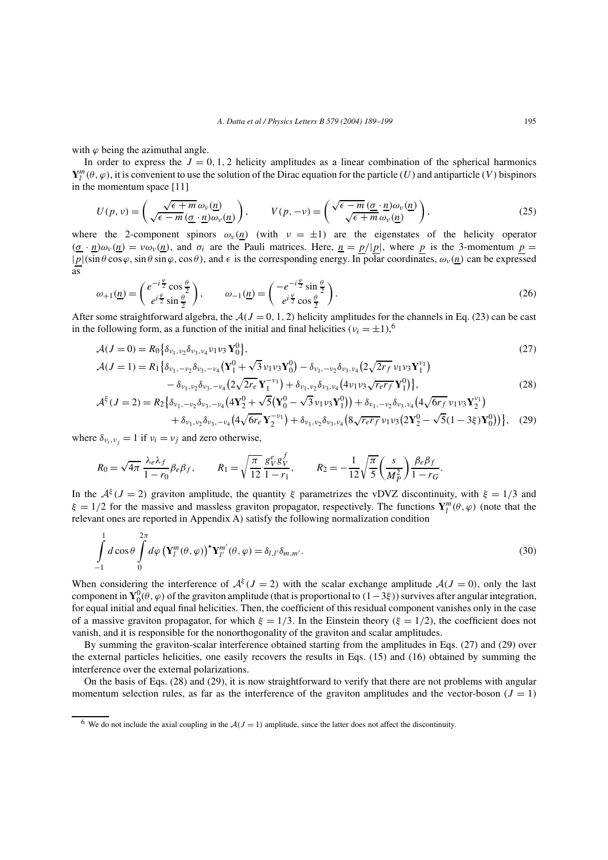with  $\varphi$  being the azimuthal angle.

In order to express the  $J = 0, 1, 2$  helicity amplitudes as a linear combination of the spherical harmonics  $Y_l^m(\theta, \varphi)$ , it is convenient to use the solution of the Dirac equation for the particle (U) and antiparticle (V) bispinors in the momentum space [11]

$$
U(p,\nu) = \left(\frac{\sqrt{\epsilon+m}\,\omega_{\nu}(\underline{n})}{\sqrt{\epsilon-m}\,(\underline{\sigma}\cdot\underline{n})\omega_{\nu}(\underline{n})}\right), \qquad V(p,-\nu) = \left(\frac{\sqrt{\epsilon-m}\,(\underline{\sigma}\cdot\underline{n})\omega_{\nu}(\underline{n})}{\sqrt{\epsilon+m}\,\omega_{\nu}(\underline{n})}\right),\tag{25}
$$

where the 2-component spinors  $\omega_{\nu}(n)$  (with  $\nu = \pm 1$ ) are the eigenstates of the helicity operator  $(\underline{\sigma} \cdot \underline{n})\omega_{\nu}(\underline{n}) = \nu \omega_{\nu}(\underline{n})$ , and  $\sigma_i$  are the Pauli matrices. Here,  $\underline{n} = p/|\underline{p}|$ , where p is the 3-momentum  $\underline{p} =$  $|p|(\sin\theta\cos\varphi,\sin\theta\sin\varphi,\cos\theta)$ , and  $\epsilon$  is the corresponding energy. In polar coordinates,  $\omega_{\nu}(n)$  can be expressed as

$$
\omega_{+1}(\underline{n}) = \begin{pmatrix} e^{-i\frac{\varphi}{2}}\cos\frac{\theta}{2} \\ e^{i\frac{\varphi}{2}}\sin\frac{\theta}{2} \end{pmatrix}, \qquad \omega_{-1}(\underline{n}) = \begin{pmatrix} -e^{-i\frac{\varphi}{2}}\sin\frac{\theta}{2} \\ e^{i\frac{\varphi}{2}}\cos\frac{\theta}{2} \end{pmatrix}.
$$
\n(26)

After some straightforward algebra, the  $A(J = 0, 1, 2)$  helicity amplitudes for the channels in Eq. (23) can be cast in the following form, as a function of the initial and final helicities ( $v_i = \pm 1$ ),<sup>6</sup>

$$
\mathcal{A}(J=0) = R_0 \left\{ \delta_{\nu_1, \nu_2} \delta_{\nu_3, \nu_4} \nu_1 \nu_3 \mathbf{Y}_0^0 \right\},\tag{27}
$$

$$
\mathcal{A}(J=1) = R_1 \left\{ \delta_{\nu_1, -\nu_2} \delta_{\nu_3, -\nu_4} \left( \mathbf{Y}_1^0 + \sqrt{3} \nu_1 \nu_3 \mathbf{Y}_0^0 \right) - \delta_{\nu_1, -\nu_2} \delta_{\nu_3, \nu_4} \left( 2 \sqrt{2r_f} \nu_1 \nu_3 \mathbf{Y}_1^{\nu_1} \right) - \delta_{\nu_1, \nu_2} \delta_{\nu_3, -\nu_4} \left( 2 \sqrt{2r_e} \mathbf{Y}_1^{-\nu_1} \right) + \delta_{\nu_1, \nu_2} \delta_{\nu_3, \nu_4} \left( 4 \nu_1 \nu_3 \sqrt{r_e r_f} \mathbf{Y}_1^0 \right) \right\},
$$
\n(28)

$$
\mathcal{A}^{\xi}(J=2) = R_{2} \{ \delta_{\nu_{1},-\nu_{2}} \delta_{\nu_{3},-\nu_{4}} \left( 4\mathbf{Y}_{2}^{0} + \sqrt{5}(\mathbf{Y}_{0}^{0} - \sqrt{3}\nu_{1}\nu_{3}\mathbf{Y}_{1}^{0}) \right) + \delta_{\nu_{1},-\nu_{2}} \delta_{\nu_{3},\nu_{4}} \left( 4\sqrt{6r_{f}}\nu_{1}\nu_{3}\mathbf{Y}_{2}^{\nu_{1}} \right) + \delta_{\nu_{1},\nu_{2}} \delta_{\nu_{3},-\nu_{4}} \left( 4\sqrt{6r_{e}}\mathbf{Y}_{2}^{-\nu_{1}} \right) + \delta_{\nu_{1},\nu_{2}} \delta_{\nu_{3},\nu_{4}} \left( 8\sqrt{r_{e}r_{f}}\nu_{1}\nu_{3}\left( 2\mathbf{Y}_{2}^{0} - \sqrt{5}(1-3\xi)\mathbf{Y}_{0}^{0} \right) \right) \}, \quad (29)
$$

where  $\delta_{v_i, v_j} = 1$  if  $v_i = v_j$  and zero otherwise,

$$
R_0 = \sqrt{4\pi} \frac{\lambda_e \lambda_f}{1 - r_0} \beta_e \beta_f, \qquad R_1 = \sqrt{\frac{\pi}{12}} \frac{g_V^e g_V^f}{1 - r_1}, \qquad R_2 = -\frac{1}{12} \sqrt{\frac{\pi}{5}} \left( \frac{s}{M_P^2} \right) \frac{\beta_e \beta_f}{1 - r_G}.
$$

In the  $A^{\xi}(J=2)$  graviton amplitude, the quantity ξ parametrizes the vDVZ discontinuity, with  $\xi = 1/3$  and  $\xi = 1/2$  for the massive and massless graviton propagator, respectively. The functions  $Y_l^m(\theta, \varphi)$  (note that the relevant ones are reported in Appendix A) satisfy the following normalization condition

$$
\int_{-1}^{1} d\cos\theta \int_{0}^{2\pi} d\varphi \left(\mathbf{Y}_{l}^{m}(\theta,\varphi)\right)^{\star}\mathbf{Y}_{l'}^{m'}(\theta,\varphi) = \delta_{l,l'}\delta_{m,m'}.
$$
\n(30)

When considering the interference of  $A^{i}(J=2)$  with the scalar exchange amplitude  $A(J=0)$ , only the last component in  $Y_0^0(\theta, \varphi)$  of the graviton amplitude (that is proportional to  $(1-3\xi)$ ) survives after angular integration, for equal initial and equal final helicities. Then, the coefficient of this residual component vanishes only in the case of a massive graviton propagator, for which  $\xi = 1/3$ . In the Einstein theory ( $\xi = 1/2$ ), the coefficient does not vanish, and it is responsible for the nonorthogonality of the graviton and scalar amplitudes.

By summing the graviton-scalar interference obtained starting from the amplitudes in Eqs. (27) and (29) over the external particles helicities, one easily recovers the results in Eqs. (15) and (16) obtained by summing the interference over the external polarizations.

On the basis of Eqs. (28) and (29), it is now straightforward to verify that there are not problems with angular momentum selection rules, as far as the interference of the graviton amplitudes and the vector-boson ( $J = 1$ )

<sup>&</sup>lt;sup>6</sup> We do not include the axial coupling in the  $A(J = 1)$  amplitude, since the latter does not affect the discontinuity.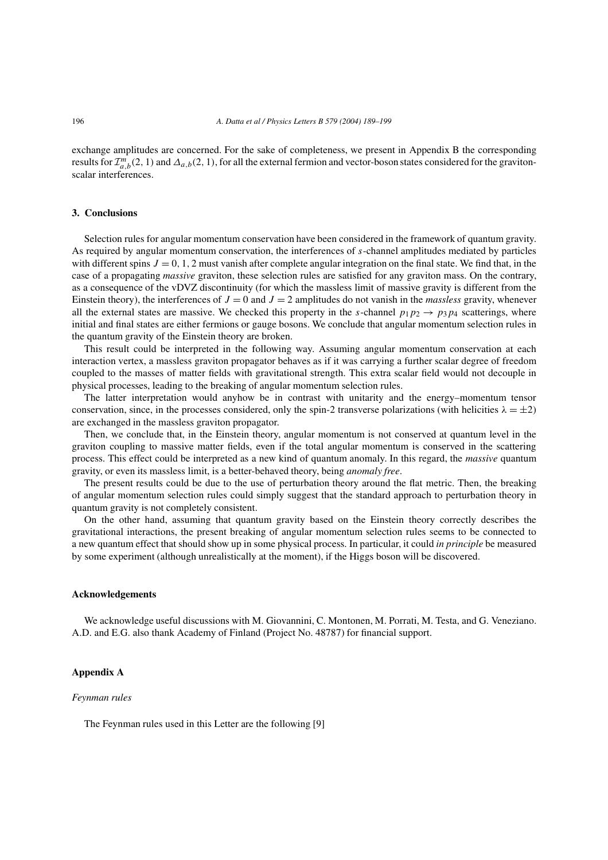exchange amplitudes are concerned. For the sake of completeness, we present in Appendix B the corresponding results for  $\mathcal{I}_{a,b}^m(2,1)$  and  $\Delta_{a,b}(2,1)$ , for all the external fermion and vector-boson states considered for the gravitonscalar interferences.

# **3. Conclusions**

Selection rules for angular momentum conservation have been considered in the framework of quantum gravity. As required by angular momentum conservation, the interferences of s-channel amplitudes mediated by particles with different spins  $J = 0, 1, 2$  must vanish after complete angular integration on the final state. We find that, in the case of a propagating *massive* graviton, these selection rules are satisfied for any graviton mass. On the contrary, as a consequence of the vDVZ discontinuity (for which the massless limit of massive gravity is different from the Einstein theory), the interferences of  $J = 0$  and  $J = 2$  amplitudes do not vanish in the *massless* gravity, whenever all the external states are massive. We checked this property in the s-channel  $p_1p_2 \rightarrow p_3p_4$  scatterings, where initial and final states are either fermions or gauge bosons. We conclude that angular momentum selection rules in the quantum gravity of the Einstein theory are broken.

This result could be interpreted in the following way. Assuming angular momentum conservation at each interaction vertex, a massless graviton propagator behaves as if it was carrying a further scalar degree of freedom coupled to the masses of matter fields with gravitational strength. This extra scalar field would not decouple in physical processes, leading to the breaking of angular momentum selection rules.

The latter interpretation would anyhow be in contrast with unitarity and the energy–momentum tensor conservation, since, in the processes considered, only the spin-2 transverse polarizations (with helicities  $\lambda = \pm 2$ ) are exchanged in the massless graviton propagator.

Then, we conclude that, in the Einstein theory, angular momentum is not conserved at quantum level in the graviton coupling to massive matter fields, even if the total angular momentum is conserved in the scattering process. This effect could be interpreted as a new kind of quantum anomaly. In this regard, the *massive* quantum gravity, or even its massless limit, is a better-behaved theory, being *anomaly free*.

The present results could be due to the use of perturbation theory around the flat metric. Then, the breaking of angular momentum selection rules could simply suggest that the standard approach to perturbation theory in quantum gravity is not completely consistent.

On the other hand, assuming that quantum gravity based on the Einstein theory correctly describes the gravitational interactions, the present breaking of angular momentum selection rules seems to be connected to a new quantum effect that should show up in some physical process. In particular, it could *in principle* be measured by some experiment (although unrealistically at the moment), if the Higgs boson will be discovered.

# **Acknowledgements**

We acknowledge useful discussions with M. Giovannini, C. Montonen, M. Porrati, M. Testa, and G. Veneziano. A.D. and E.G. also thank Academy of Finland (Project No. 48787) for financial support.

## **Appendix A**

#### *Feynman rules*

The Feynman rules used in this Letter are the following [9]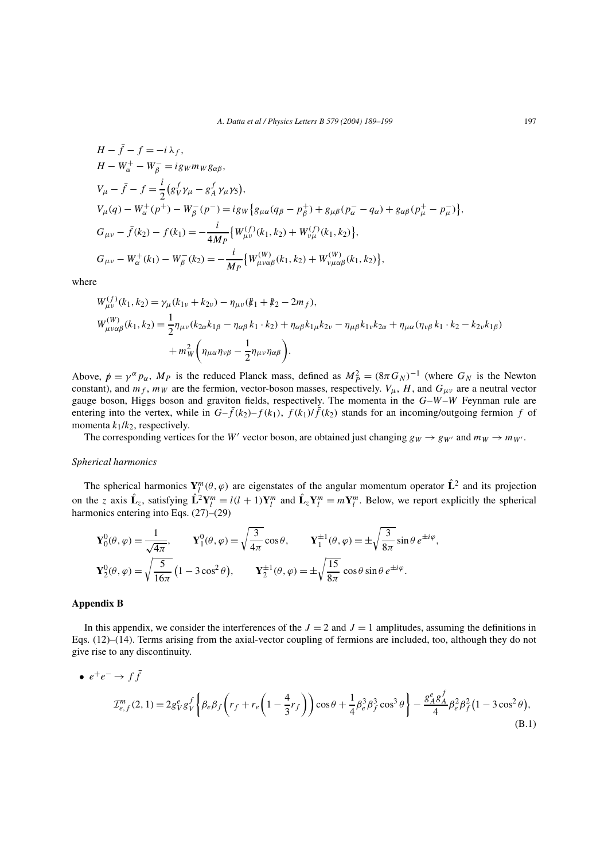$$
H - \bar{f} - f = -i \lambda_f,
$$
  
\n
$$
H - W_{\alpha}^+ - W_{\beta}^- = i g_W m_W g_{\alpha\beta},
$$
  
\n
$$
V_{\mu} - \bar{f} - f = \frac{i}{2} (g_V^f \gamma_{\mu} - g_A^f \gamma_{\mu} \gamma_5),
$$
  
\n
$$
V_{\mu}(q) - W_{\alpha}^+(p^+) - W_{\beta}^-(p^-) = i g_W \{g_{\mu\alpha}(q_{\beta} - p_{\beta}^+) + g_{\mu\beta}(p_{\alpha}^- - q_{\alpha}) + g_{\alpha\beta}(p_{\mu}^+ - p_{\mu}^-)\},
$$
  
\n
$$
G_{\mu\nu} - \bar{f}(k_2) - f(k_1) = -\frac{i}{4M_P} \{W_{\mu\nu}^{(f)}(k_1, k_2) + W_{\nu\mu}^{(f)}(k_1, k_2)\},
$$
  
\n
$$
G_{\mu\nu} - W_{\alpha}^+(k_1) - W_{\beta}^-(k_2) = -\frac{i}{M_P} \{W_{\mu\nu\alpha\beta}^{(W)}(k_1, k_2) + W_{\nu\mu\alpha\beta}^{(W)}(k_1, k_2)\},
$$

where

$$
W_{\mu\nu}^{(f)}(k_1, k_2) = \gamma_{\mu}(k_{1\nu} + k_{2\nu}) - \eta_{\mu\nu}(k_1 + k_2 - 2m_f),
$$
  
\n
$$
W_{\mu\nu\alpha\beta}^{(W)}(k_1, k_2) = \frac{1}{2} \eta_{\mu\nu}(k_{2\alpha}k_{1\beta} - \eta_{\alpha\beta}k_1 \cdot k_2) + \eta_{\alpha\beta}k_{1\mu}k_{2\nu} - \eta_{\mu\beta}k_{1\nu}k_{2\alpha} + \eta_{\mu\alpha}(\eta_{\nu\beta}k_1 \cdot k_2 - k_{2\nu}k_{1\beta})
$$
  
\n
$$
+ m_W^2 \left( \eta_{\mu\alpha} \eta_{\nu\beta} - \frac{1}{2} \eta_{\mu\nu} \eta_{\alpha\beta} \right).
$$

Above,  $p = \gamma^{\alpha} p_{\alpha}$ ,  $M_p$  is the reduced Planck mass, defined as  $M_p^2 = (8\pi G_N)^{-1}$  (where  $G_N$  is the Newton constant), and  $m_f$ ,  $m_W$  are the fermion, vector-boson masses, respectively.  $V_\mu$ , H, and  $G_{\mu\nu}$  are a neutral vector gauge boson, Higgs boson and graviton fields, respectively. The momenta in the  $G-W-W$  Feynman rule are entering into the vertex, while in  $G-f(k_2)-f(k_1)$ ,  $f(k_1)/f(k_2)$  stands for an incoming/outgoing fermion f of momenta  $k_1/k_2$ , respectively.

The corresponding vertices for the W' vector boson, are obtained just changing  $g_W \to g_{W'}$  and  $m_W \to m_{W'}$ .

## *Spherical harmonics*

The spherical harmonics  $Y_l^m(\theta, \varphi)$  are eigenstates of the angular momentum operator  $\hat{L}^2$  and its projection on the z axis  $\hat{\mathbf{L}}_z$ , satisfying  $\hat{\mathbf{L}}^2 \mathbf{Y}_l^m = l(l+1)\mathbf{Y}_l^m$  and  $\hat{\mathbf{L}}_z \mathbf{Y}_l^m = m\mathbf{Y}_l^m$ . Below, we report explicitly the spherical harmonics entering into Eqs. (27)–(29)

$$
\mathbf{Y}_0^0(\theta,\varphi) = \frac{1}{\sqrt{4\pi}}, \qquad \mathbf{Y}_1^0(\theta,\varphi) = \sqrt{\frac{3}{4\pi}} \cos \theta, \qquad \mathbf{Y}_1^{\pm 1}(\theta,\varphi) = \pm \sqrt{\frac{3}{8\pi}} \sin \theta \, e^{\pm i\varphi},
$$

$$
\mathbf{Y}_2^0(\theta,\varphi) = \sqrt{\frac{5}{16\pi}} \left(1 - 3\cos^2 \theta\right), \qquad \mathbf{Y}_2^{\pm 1}(\theta,\varphi) = \pm \sqrt{\frac{15}{8\pi}} \cos \theta \sin \theta \, e^{\pm i\varphi}.
$$

#### **Appendix B**

In this appendix, we consider the interferences of the  $J = 2$  and  $J = 1$  amplitudes, assuming the definitions in Eqs. (12)–(14). Terms arising from the axial-vector coupling of fermions are included, too, although they do not give rise to any discontinuity.

• 
$$
e^+e^- \to f\bar{f}
$$
  
\n
$$
\mathcal{I}_{e,f}^m(2,1) = 2g_V^e g_V^f \left\{ \beta_e \beta_f \left( r_f + r_e \left( 1 - \frac{4}{3} r_f \right) \right) \cos \theta + \frac{1}{4} \beta_e^3 \beta_f^3 \cos^3 \theta \right\} - \frac{g_A^e g_A^f}{4} \beta_e^2 \beta_f^2 (1 - 3 \cos^2 \theta),
$$
\n(B.1)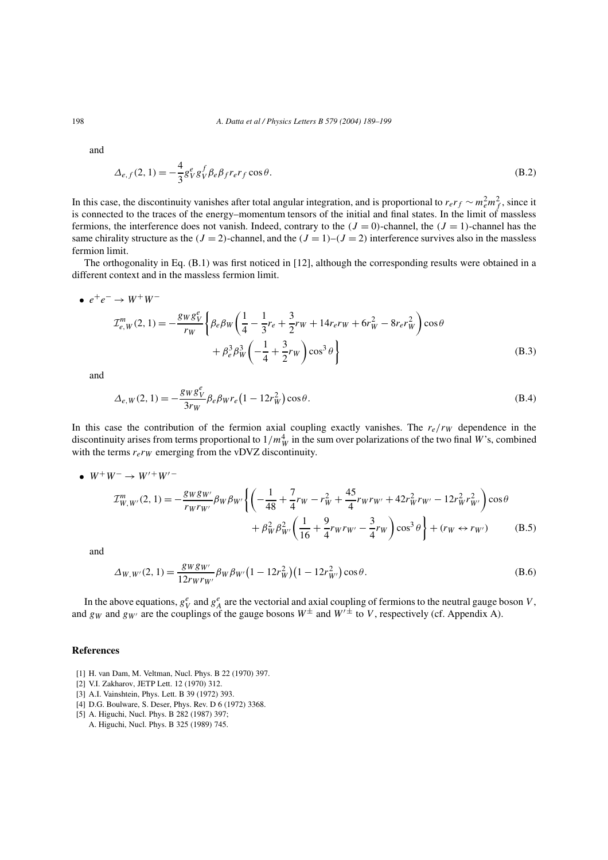and

$$
\Delta_{e,f}(2,1) = -\frac{4}{3}g_V^e g_V^f \beta_e \beta_f r_e r_f \cos \theta.
$$
\n(B.2)

In this case, the discontinuity vanishes after total angular integration, and is proportional to  $r_e r_f \sim m_e^2 m_f^2$ , since it is connected to the traces of the energy–momentum tensors of the initial and final states. In the limit of massless fermions, the interference does not vanish. Indeed, contrary to the  $(J = 0)$ -channel, the  $(J = 1)$ -channel has the same chirality structure as the  $(J = 2)$ -channel, and the  $(J = 1)$ - $(J = 2)$  interference survives also in the massless fermion limit.

The orthogonality in Eq. (B.1) was first noticed in [12], although the corresponding results were obtained in a different context and in the massless fermion limit.

• 
$$
e^+e^- \to W^+W^-
$$
  
\n
$$
\mathcal{I}_{e,W}^m(2,1) = -\frac{g_Wg_V^e}{r_W} \left\{ \beta_e \beta_W \left( \frac{1}{4} - \frac{1}{3}r_e + \frac{3}{2}r_W + 14r_e r_W + 6r_W^2 - 8r_e r_W^2 \right) \cos \theta + \beta_e^3 \beta_W^3 \left( -\frac{1}{4} + \frac{3}{2}r_W \right) \cos^3 \theta \right\}
$$
\n(B.3)

and

$$
\Delta_{e,W}(2,1) = -\frac{g_W g_V^e}{3r_W} \beta_e \beta_W r_e \left(1 - 12r_W^2\right) \cos \theta.
$$
\n(B.4)

In this case the contribution of the fermion axial coupling exactly vanishes. The  $r_e/r_W$  dependence in the discontinuity arises from terms proportional to  $1/m_W^4$  in the sum over polarizations of the two final W's, combined with the terms  $r_{e}r_{W}$  emerging from the vDVZ discontinuity.

• 
$$
W^+W^- \to W'^+W'^-
$$
  
\n
$$
\mathcal{I}_{W,W'}^m(2,1) = -\frac{g_W g_{W'}}{r_W r_{W'}} \beta_W \beta_{W'} \left\{ \left( -\frac{1}{48} + \frac{7}{4} r_W - r_W^2 + \frac{45}{4} r_W r_{W'} + 42 r_W^2 r_{W'} - 12 r_W^2 r_{W'}^2 \right) \cos \theta + \beta_W^2 \beta_{W'}^2 \left( \frac{1}{16} + \frac{9}{4} r_W r_{W'} - \frac{3}{4} r_W \right) \cos^3 \theta \right\} + (r_W \leftrightarrow r_{W'}) \tag{B.5}
$$

and

$$
\Delta_{W,W'}(2,1) = \frac{g_W g_{W'}}{12 r_W r_{W'}} \beta_W \beta_{W'} \big(1 - 12 r_W^2\big) \big(1 - 12 r_{W'}^2\big) \cos \theta.
$$
\n(B.6)

In the above equations,  $g_V^e$  and  $g_A^e$  are the vectorial and axial coupling of fermions to the neutral gauge boson V, and g<sub>W</sub> and g<sub>W′</sub> are the couplings of the gauge bosons  $W^{\pm}$  and  $W'^{\pm}$  to V, respectively (cf. Appendix A).

# **References**

- [1] H. van Dam, M. Veltman, Nucl. Phys. B 22 (1970) 397.
- [2] V.I. Zakharov, JETP Lett. 12 (1970) 312.
- [3] A.I. Vainshtein, Phys. Lett. B 39 (1972) 393.
- [4] D.G. Boulware, S. Deser, Phys. Rev. D 6 (1972) 3368.
- [5] A. Higuchi, Nucl. Phys. B 282 (1987) 397;
	- A. Higuchi, Nucl. Phys. B 325 (1989) 745.